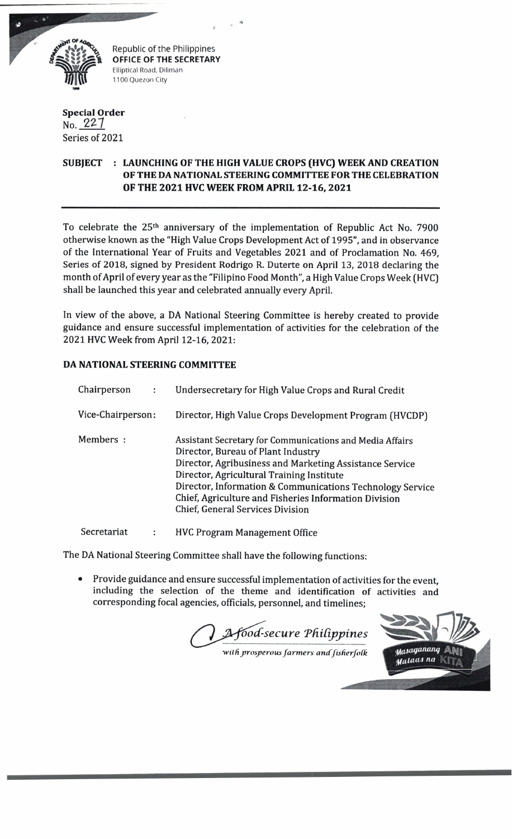

Republic of the Philippines **OFFICE OF THE SECRETARY** Elliptical Road, Diliman 1100 Quezon City

*9*

## **Special Order** No. 227 Series of 2021

## **SUBJECT : LAUNCHING OF THE HIGH VALUE CROPS (HVC) WEEK AND CREATION OF THE DA NATIONAL STEERING COMMITTEE FOR THE CELEBRATION OF THE 2021 HVC WEEK FROM APRIL 12-16, 2021**

To celebrate the 25th anniversary of the implementation of Republic Act No. 7900 otherwise known as the "High Value Crops Development Act of 1995", and in observance of the International Year of Fruits and Vegetables 2021 and of Proclamation No. 469, Series of 2018, signed by President Rodrigo R. Duterte on April 13, 2018 declaring the month of April of every year as the "Filipino Food Month", a High Value Crops Week (HVC) shall be launched this year and celebrated annually every April,

In view of the above, a DA National Steering Committee is hereby created to provide guidance and ensure successful implementation of activities for the celebration of the 2021 HVC Week from April 12-16, 2021:

## **DA NATIONAL STEERING COMMITTEE**

| Chairperson<br>÷  | Undersecretary for High Value Crops and Rural Credit                                                                                                                                                                                                                                                                                                             |
|-------------------|------------------------------------------------------------------------------------------------------------------------------------------------------------------------------------------------------------------------------------------------------------------------------------------------------------------------------------------------------------------|
| Vice-Chairperson: | Director, High Value Crops Development Program (HVCDP)                                                                                                                                                                                                                                                                                                           |
| Members :         | Assistant Secretary for Communications and Media Affairs<br>Director, Bureau of Plant Industry<br>Director, Agribusiness and Marketing Assistance Service<br>Director, Agricultural Training Institute<br>Director, Information & Communications Technology Service<br>Chief, Agriculture and Fisheries Information Division<br>Chief, General Services Division |
| Secretariat       | <b>HVC Program Management Office</b>                                                                                                                                                                                                                                                                                                                             |

The DA National Steering Committee shall have the following functions:

Provide guidance and ensure successful implementation of activities for the event, including the selection of the theme and identification of activities and corresponding focal agencies, officials, personnel, and timelines;

*'oocC-secure Th iCippines*

*■wildprosperous farm ers ancf fisherfoCk*

Masaganang Malaas na K